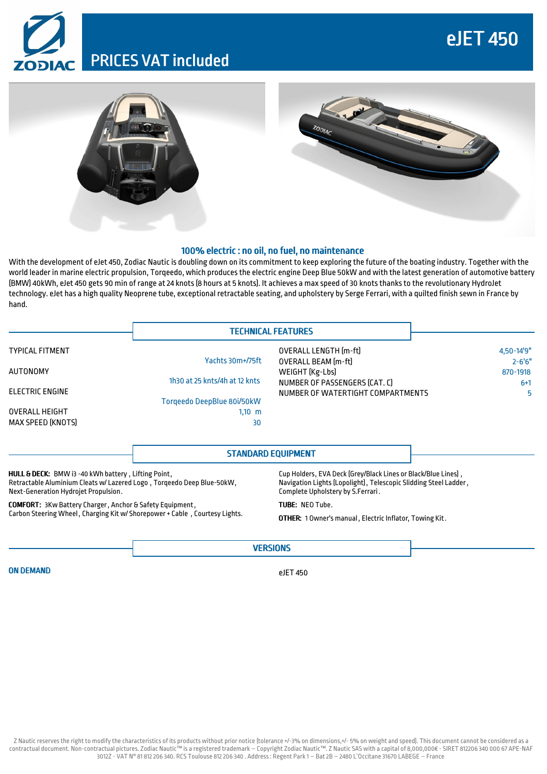## eJET 450

## PRICES VAT included





## 100% electric: no oil, no fuel, no maintenance

With the development of eJet 450, Zodiac Nautic is doubling down on its commitment to keep exploring the future of the boating industry. Together with the world leader in marine electric propulsion, Torqeedo, which produces the electric engine Deep Blue 50kW and with the latest generation of automotive battery (BMW) 40kWh, eJet 450 gets 90 min of range at 24 knots (8 hours at 5 knots). It achieves a max speed of 30 knots thanks to the revolutionary HydroJet technology. eJet has a high quality Neoprene tube, exceptional retractable seating, and upholstery by Serge Ferrari, with a quilted finish sewn in France by hand.

|                                                     | <b>TECHNICAL FEATURES</b>                                     |                                                                    |                         |
|-----------------------------------------------------|---------------------------------------------------------------|--------------------------------------------------------------------|-------------------------|
| <b>TYPICAL FITMENT</b>                              |                                                               | OVERALL LENGTH [m-ft]                                              | $4,50-14'9''$           |
| AUTONOMY                                            | Yachts 30m+/75ft                                              | <b>OVERALL BEAM (m-ft)</b><br>WEIGHT (Kg-Lbs)                      | $2 - 6'6''$<br>870-1918 |
| <b>ELECTRIC ENGINE</b>                              | 1h30 at 25 knts/4h at 12 knts                                 | NUMBER OF PASSENGERS (CAT. C)<br>NUMBER OF WATERTIGHT COMPARTMENTS | $6+1$<br>5.             |
| <b>OVERALL HEIGHT</b>                               | Torgeedo DeepBlue 80i/50kW<br>$1,10$ m                        |                                                                    |                         |
| <b>MAX SPEED (KNOTS)</b>                            | 30                                                            |                                                                    |                         |
|                                                     | <b>STANDARD EQUIPMENT</b>                                     |                                                                    |                         |
| HULL & DECK: BMW i3 -40 kWh battery, Lifting Point, | Cup Holders, EVA Deck [Grey/Black Lines or Black/Blue Lines], |                                                                    |                         |

Retractable Aluminium Cleats w/ Lazered Logo , Torqeedo Deep Blue-50kW, Next-Generation Hydrojet Propulsion.

COMFORT: 3Kw Battery Charger, Anchor & Safety Equipment, Carbon Steering Wheel, Charging Kit w/ Shorepower+ Cable , Courtesy Lights. Navigation Lights(Lopolight), Telescopic Slidding Steel Ladder, Complete Upholstery by S.Ferrari .

TUBE: NEO Tube.

OTHER: 1 Owner's manual, Electric Inflator, Towing Kit.

ON DEMAND

eJET 450

**VERSIONS**